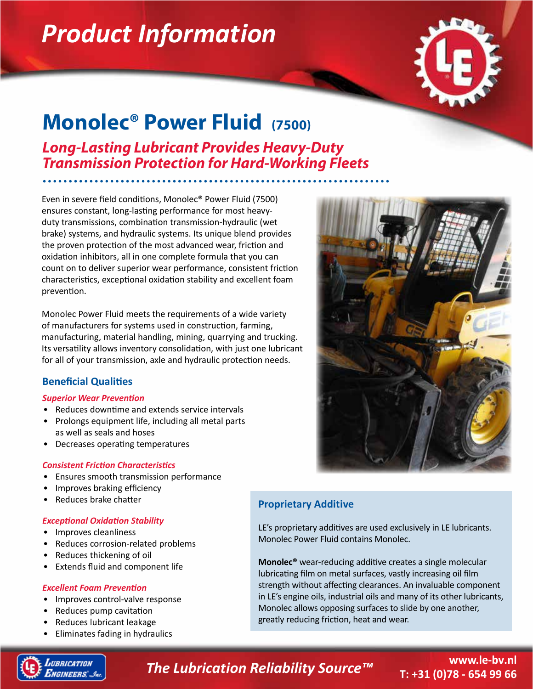# *Product Information*



## **Monolec® Power Fluid (7500)**

*Long-Lasting Lubricant Provides Heavy-Duty Transmission Protection for Hard-Working Fleets*

Even in severe field conditions, Monolec® Power Fluid (7500) ensures constant, long-lasting performance for most heavyduty transmissions, combination transmission-hydraulic (wet brake) systems, and hydraulic systems. Its unique blend provides the proven protection of the most advanced wear, friction and oxidation inhibitors, all in one complete formula that you can count on to deliver superior wear performance, consistent friction characteristics, exceptional oxidation stability and excellent foam prevention.

Monolec Power Fluid meets the requirements of a wide variety of manufacturers for systems used in construction, farming, manufacturing, material handling, mining, quarrying and trucking. Its versatility allows inventory consolidation, with just one lubricant for all of your transmission, axle and hydraulic protection needs.

#### **Beneficial Qualities**

#### *Superior Wear Prevention*

- Reduces downtime and extends service intervals
- Prolongs equipment life, including all metal parts as well as seals and hoses
- Decreases operating temperatures

#### *Consistent Friction Characteristics*

- Ensures smooth transmission performance
- Improves braking efficiency
- Reduces brake chatter

#### *Exceptional Oxidation Stability*

- Improves cleanliness
- Reduces corrosion-related problems
- Reduces thickening of oil
- Extends fluid and component life

#### *Excellent Foam Prevention*

- Improves control-valve response
- Reduces pump cavitation
- Reduces lubricant leakage
- Eliminates fading in hydraulics

### **Proprietary Additive**

LE's proprietary additives are used exclusively in LE lubricants. Monolec Power Fluid contains Monolec.

**Monolec®** wear-reducing additive creates a single molecular lubricating film on metal surfaces, vastly increasing oil film strength without affecting clearances. An invaluable component in LE's engine oils, industrial oils and many of its other lubricants, Monolec allows opposing surfaces to slide by one another, greatly reducing friction, heat and wear.



### *The Lubrication Reliability Source™*

#### **www.le-bv.nl T: +31 (0)78 - 654 99 66**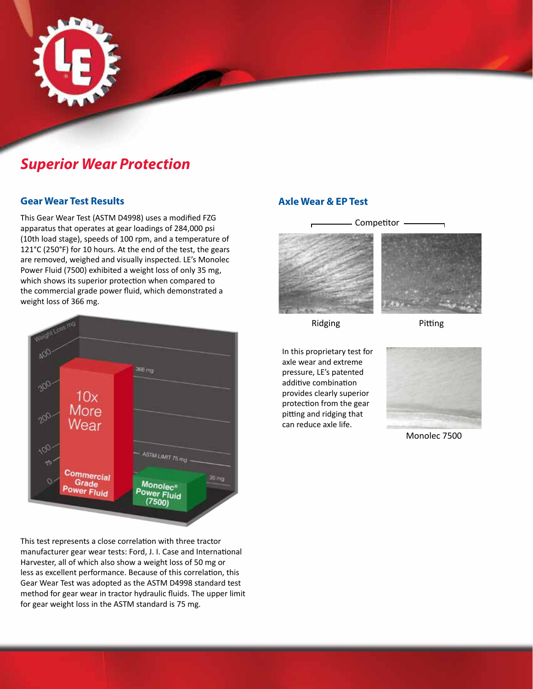

## *Superior Wear Protection*

#### **Gear Wear Test Results**

This Gear Wear Test (ASTM D4998) uses a modified FZG apparatus that operates at gear loadings of 284,000 psi (10th load stage), speeds of 100 rpm, and a temperature of 121°C (250°F) for 10 hours. At the end of the test, the gears are removed, weighed and visually inspected. LE's Monolec Power Fluid (7500) exhibited a weight loss of only 35 mg, which shows its superior protection when compared to the commercial grade power fluid, which demonstrated a weight loss of 366 mg.



This test represents a close correlation with three tractor manufacturer gear wear tests: Ford, J. I. Case and International Harvester, all of which also show a weight loss of 50 mg or less as excellent performance. Because of this correlation, this Gear Wear Test was adopted as the ASTM D4998 standard test method for gear wear in tractor hydraulic fluids. The upper limit for gear weight loss in the ASTM standard is 75 mg.

#### **Axle Wear & EP Test**



Ridging

Pitting

In this proprietary test for axle wear and extreme pressure, LE's patented additive combination provides clearly superior protection from the gear pitting and ridging that can reduce axle life.



Monolec 7500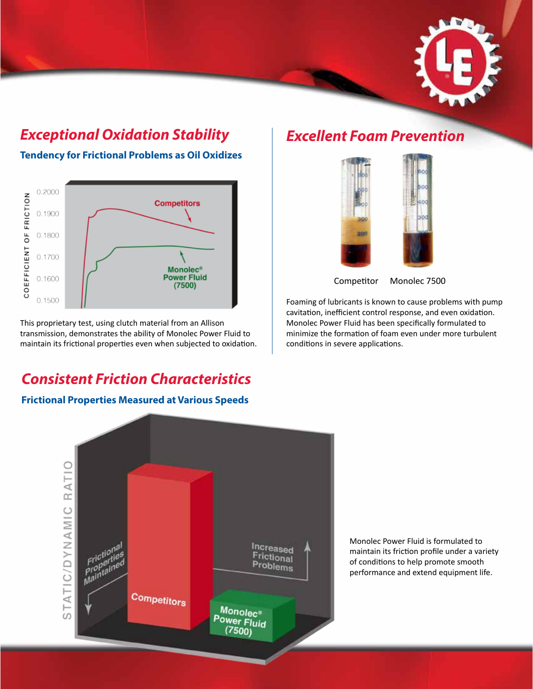

### *Exceptional Oxidation Stability*

**Tendency for Frictional Problems as Oil Oxidizes**



This proprietary test, using clutch material from an Allison transmission, demonstrates the ability of Monolec Power Fluid to maintain its frictional properties even when subjected to oxidation.

## *Consistent Friction Characteristics*

#### **Frictional Properties Measured at Various Speeds**

### *Excellent Foam Prevention*





Competitor Monolec 7500

Foaming of lubricants is known to cause problems with pump cavitation, inefficient control response, and even oxidation. Monolec Power Fluid has been specifically formulated to minimize the formation of foam even under more turbulent conditions in severe applications.



Monolec Power Fluid is formulated to maintain its friction profile under a variety of conditions to help promote smooth performance and extend equipment life.